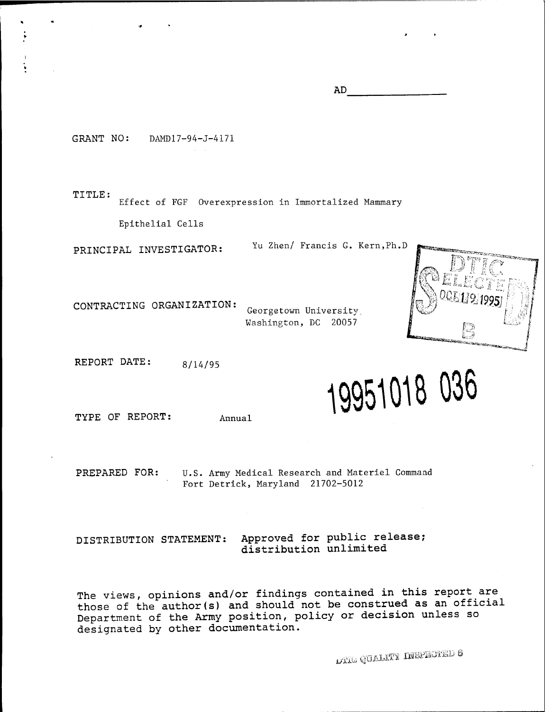**AD**

GRANT NO: DAMD17-94-J-4171

**TITLE:**

Effect of FGF Overexpression in Immortalized Mammary

Epithelial Cells

**PRINCIPAL INVESTIGATOR:** Yu Zhen/ Francis G. Kern,Ph.D



**CONTRACTING ORGANIZATION:** Georgetown University Washington, DC 20057

**REPORT DATE: 8/14/95**

**19951018 036**

**TYPE OF REPORT: Annual**

**PREPARED FOR:** U.S. Army Medical Research and Materiel Command Fort Detrick, Maryland 21702-5012

DISTRIBUTION STATEMENT: Approved for public release; distribution unlimited

The views, opinions and/or findings contained in this report are those of the author(s) and should not be construed as an official Department of the Army position, policy or decision unless so designated by other documentation.

**i/U.**.. QUALITY INSPECTED **8**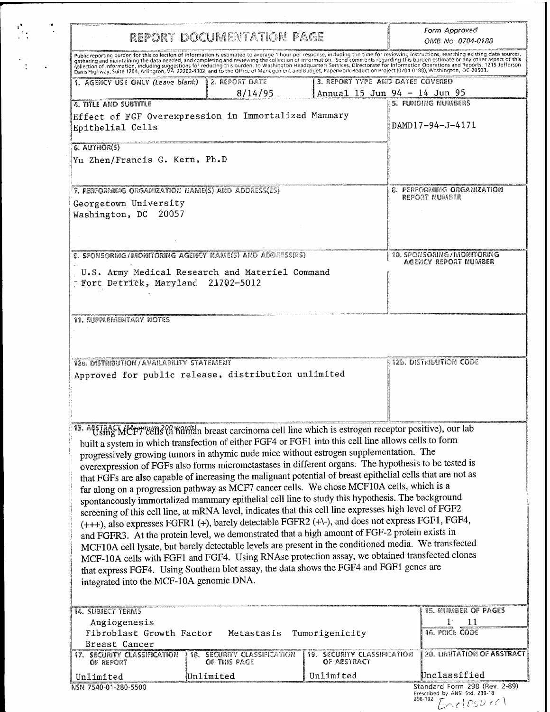|  | REPORT DOCUMENTATION PAGE                                                                                                                                                                                                                                                                                                                                                                                                                                                                                                                                                                                                                                                                                                                                                                                                                                                                                                                                                                                                                                                                                                                                                                                                                                                                                                                                                                                 |                                                                 |                                                                  | Form Approved<br>OMB No. 0704-0188                 |  |
|--|-----------------------------------------------------------------------------------------------------------------------------------------------------------------------------------------------------------------------------------------------------------------------------------------------------------------------------------------------------------------------------------------------------------------------------------------------------------------------------------------------------------------------------------------------------------------------------------------------------------------------------------------------------------------------------------------------------------------------------------------------------------------------------------------------------------------------------------------------------------------------------------------------------------------------------------------------------------------------------------------------------------------------------------------------------------------------------------------------------------------------------------------------------------------------------------------------------------------------------------------------------------------------------------------------------------------------------------------------------------------------------------------------------------|-----------------------------------------------------------------|------------------------------------------------------------------|----------------------------------------------------|--|
|  |                                                                                                                                                                                                                                                                                                                                                                                                                                                                                                                                                                                                                                                                                                                                                                                                                                                                                                                                                                                                                                                                                                                                                                                                                                                                                                                                                                                                           |                                                                 |                                                                  |                                                    |  |
|  | Public reporting burden for this collection of information is estimated to average 1 hour per response, including the time for reviewing instructions, searching existing data sources, gathering and maintaining the data nee                                                                                                                                                                                                                                                                                                                                                                                                                                                                                                                                                                                                                                                                                                                                                                                                                                                                                                                                                                                                                                                                                                                                                                            |                                                                 |                                                                  |                                                    |  |
|  | 1. AGENCY USE ONLY (Leave blank)                                                                                                                                                                                                                                                                                                                                                                                                                                                                                                                                                                                                                                                                                                                                                                                                                                                                                                                                                                                                                                                                                                                                                                                                                                                                                                                                                                          | 2. REPORT DATE<br>8/14/95                                       | 3. REPORT TYPE AND DATES COVERED<br>Annual 15 Jun 94 - 14 Jun 95 |                                                    |  |
|  | 4. TITLE AND SUBTITLE                                                                                                                                                                                                                                                                                                                                                                                                                                                                                                                                                                                                                                                                                                                                                                                                                                                                                                                                                                                                                                                                                                                                                                                                                                                                                                                                                                                     |                                                                 |                                                                  | 5. FUNDING NUMBERS                                 |  |
|  | Effect of FGF Overexpression in Immortalized Mammary<br>Epithelial Cells                                                                                                                                                                                                                                                                                                                                                                                                                                                                                                                                                                                                                                                                                                                                                                                                                                                                                                                                                                                                                                                                                                                                                                                                                                                                                                                                  |                                                                 |                                                                  | DAMD17-94-J-4171                                   |  |
|  | 6. AUTHOR(S)<br>Yu Zhen/Francis G. Kern, Ph.D                                                                                                                                                                                                                                                                                                                                                                                                                                                                                                                                                                                                                                                                                                                                                                                                                                                                                                                                                                                                                                                                                                                                                                                                                                                                                                                                                             |                                                                 |                                                                  |                                                    |  |
|  | 7. PERFORMING ORGANIZATION NAME(S) AND ADDRESS(ES)<br>Georgetown University<br>Washington, DC 20057                                                                                                                                                                                                                                                                                                                                                                                                                                                                                                                                                                                                                                                                                                                                                                                                                                                                                                                                                                                                                                                                                                                                                                                                                                                                                                       |                                                                 |                                                                  | <b>8. PERFORMING ORGANIZATION</b><br>REPORT NUMBER |  |
|  | 9. SPONSORING/MONITORING AGENCY NAME(S) AND ADDRESS(ES)                                                                                                                                                                                                                                                                                                                                                                                                                                                                                                                                                                                                                                                                                                                                                                                                                                                                                                                                                                                                                                                                                                                                                                                                                                                                                                                                                   |                                                                 |                                                                  | 10. SPONSORING/MONITORING                          |  |
|  | - Fort Detrick, Maryland 21702-5012                                                                                                                                                                                                                                                                                                                                                                                                                                                                                                                                                                                                                                                                                                                                                                                                                                                                                                                                                                                                                                                                                                                                                                                                                                                                                                                                                                       | U.S. Army Medical Research and Materiel Command                 |                                                                  | AGENCY REPORT NUMBER                               |  |
|  | <b>11. SUPPLEMENTARY NOTES</b>                                                                                                                                                                                                                                                                                                                                                                                                                                                                                                                                                                                                                                                                                                                                                                                                                                                                                                                                                                                                                                                                                                                                                                                                                                                                                                                                                                            |                                                                 |                                                                  |                                                    |  |
|  | 12a. DISTRIBUTION/AVAILABILITY STATEMENT                                                                                                                                                                                                                                                                                                                                                                                                                                                                                                                                                                                                                                                                                                                                                                                                                                                                                                                                                                                                                                                                                                                                                                                                                                                                                                                                                                  |                                                                 |                                                                  | 12b. DISTRIBUTION CODE                             |  |
|  | Approved for public release, distribution unlimited                                                                                                                                                                                                                                                                                                                                                                                                                                                                                                                                                                                                                                                                                                                                                                                                                                                                                                                                                                                                                                                                                                                                                                                                                                                                                                                                                       |                                                                 |                                                                  |                                                    |  |
|  | 13. AFSTRACT MET TEEN 3 (2 Kuman breast carcinoma cell line which is estrogen receptor positive), our lab<br>built a system in which transfection of either FGF4 or FGF1 into this cell line allows cells to form<br>progressively growing tumors in athymic nude mice without estrogen supplementation. The<br>overexpression of FGFs also forms micrometastases in different organs. The hypothesis to be tested is<br>that FGFs are also capable of increasing the malignant potential of breast epithelial cells that are not as<br>far along on a progression pathway as MCF7 cancer cells. We chose MCF10A cells, which is a<br>spontaneously immortalized mammary epithelial cell line to study this hypothesis. The background<br>screening of this cell line, at mRNA level, indicates that this cell line expresses high level of FGF2<br>(+++), also expresses FGFR1 (+), barely detectable FGFR2 (+\-), and does not express FGF1, FGF4,<br>and FGFR3. At the protein level, we demonstrated that a high amount of FGF-2 protein exists in<br>MCF10A cell lysate, but barely detectable levels are present in the conditioned media. We transfected<br>MCF-10A cells with FGF1 and FGF4. Using RNAse protection assay, we obtained transfected clones<br>that express FGF4. Using Southern blot assay, the data shows the FGF4 and FGF1 genes are<br>integrated into the MCF-10A genomic DNA. |                                                                 |                                                                  |                                                    |  |
|  |                                                                                                                                                                                                                                                                                                                                                                                                                                                                                                                                                                                                                                                                                                                                                                                                                                                                                                                                                                                                                                                                                                                                                                                                                                                                                                                                                                                                           |                                                                 |                                                                  |                                                    |  |
|  |                                                                                                                                                                                                                                                                                                                                                                                                                                                                                                                                                                                                                                                                                                                                                                                                                                                                                                                                                                                                                                                                                                                                                                                                                                                                                                                                                                                                           |                                                                 |                                                                  | <b>15. NUMBER OF PAGES</b>                         |  |
|  | 14. SUBJECT TERMS<br>Angiogenesis<br>Fibroblast Growth Factor                                                                                                                                                                                                                                                                                                                                                                                                                                                                                                                                                                                                                                                                                                                                                                                                                                                                                                                                                                                                                                                                                                                                                                                                                                                                                                                                             |                                                                 |                                                                  | $1^{\circ}$<br>11<br>16. PRICE CODE                |  |
|  | Breast Cancer<br><b>17. SECURITY CLASSIFICATION</b>                                                                                                                                                                                                                                                                                                                                                                                                                                                                                                                                                                                                                                                                                                                                                                                                                                                                                                                                                                                                                                                                                                                                                                                                                                                                                                                                                       | Metastasis Tumorigenicity<br><b>18. SECURITY CLASSIFICATION</b> | 19. SECURITY CLASSIFICATION                                      | 20. LIMITATION OF ABSTRACT                         |  |
|  | OF REPORT<br>Unlimited                                                                                                                                                                                                                                                                                                                                                                                                                                                                                                                                                                                                                                                                                                                                                                                                                                                                                                                                                                                                                                                                                                                                                                                                                                                                                                                                                                                    | OF THIS PAGE<br>Unlimited                                       | OF ABSTRACT<br>Unlimited                                         | Unclassified                                       |  |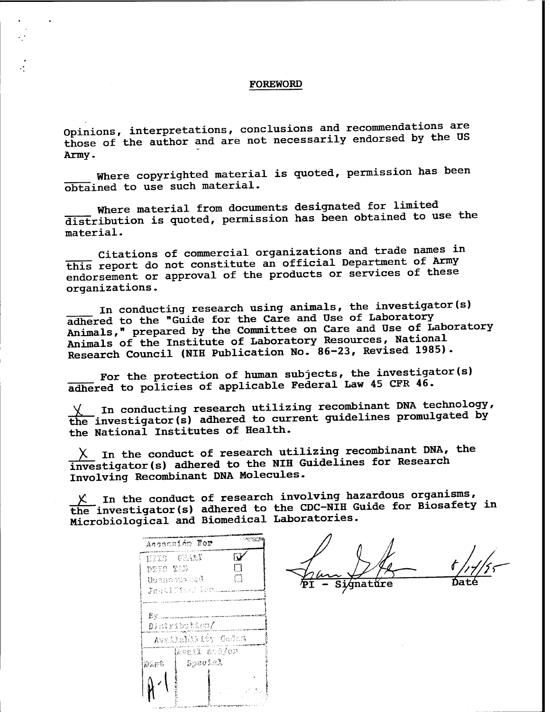#### FOREWORD

Opinions, interpretations, conclusions and recommendations are those of the author and are not necessarily endorsed by the US Army.

Where copyrighted material is quoted, permission has been obtained to use such material.

Where material from documents designated for limited distribution is quoted, permission has been obtained to use the material.

Citations of commercial organizations and trade names in this report do not constitute an official Department of Army endorsement or approval of the products or services of these organizations.

In conducting research using animals, the investigator(s) adhered to the "Guide for the Care and Use of Laboratory Animals," prepared by the Committee on Care and Use of Laboratory Animals of the Institute of Laboratory Resources, National Research Council (NIH Publication No. 86-23, Revised 1985).

For the protection of human subjects, the investigator(s) adhered to policies of applicable Federal Law 45 CFR 46.

In conducting research utilizing recombinant DNA technology, the investigator(s) adhered to current guidelines promulgated by the National Institutes of Health.

 $X$  In the conduct of research utilizing recombinant DNA, the Investigator(s) adhered to the NIH Guidelines for Research Involving Recombinant DNA Molecules.

 $X$  In the conduct of research involving hazardous organisms, the investigator(s) adhered to the CDC-NIH Guide for Biosafety in Microbiological and Biomedical Laboratories.

| Assessión For      |     |
|--------------------|-----|
| EFIS CHAMI         | ΓJ  |
| DTIC TAB           | П   |
| Unamoureed         | П   |
| Justification.     |     |
|                    |     |
| Bv.                |     |
| Distribution       |     |
| Availability Godes |     |
| kvail and/or       |     |
| Special<br>政会部隊    |     |
|                    |     |
|                    | 不达克 |
|                    |     |
|                    |     |

 $\frac{f}{\frac{1}{2}}$ Date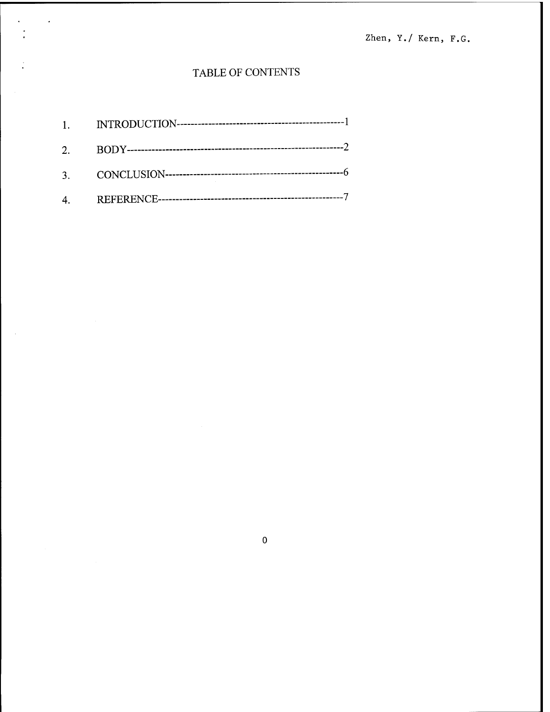Zhen, Y./ Kern, F.G.

# TABLE OF CONTENTS

J.

 $\boldsymbol{0}$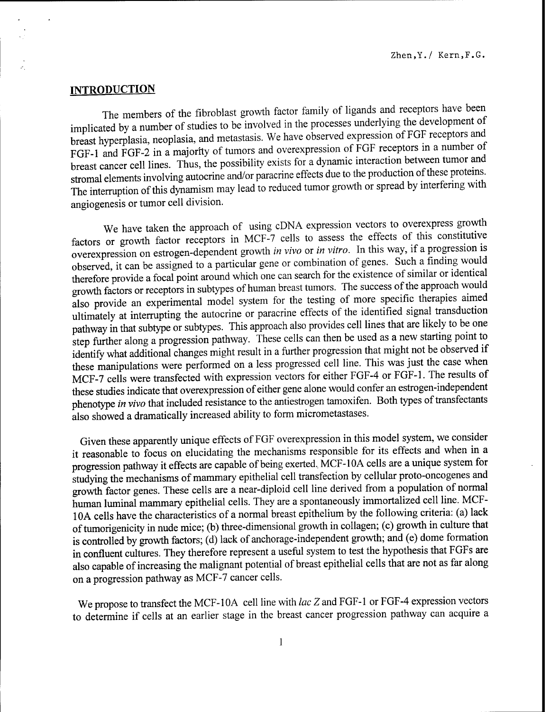## **INTRODUCTION**

The members of the fibroblast growth factor family of ligands and receptors have been implicated by a number of studies to be involved in the processes underlying the development of breast hyperplasia, neoplasia, and metastasis. We have observed expression of FGF receptors and FGF-1 and FGF-2 in a majority of tumors and overexpression of FGF receptors in a number ot breast cancer cell lines. Thus, the possibility exists for a dynamic interaction between tumor and stromal elements involving autocrine and/or paracrine effects due to the production of these proteins. The interruption of this dynamism may lead to reduced tumor growth or spread by interfering with angiogenesis or tumor cell division.

We have taken the approach of using cDNA expression vectors to overexpress growth factors or growth factor receptors in MCF-7 cells to assess the effects of this constitutive overexpression on estrogen-dependent growth *in vivo* or *in vitro.* In this way, if a progression is observed, it can be assigned to a particular gene or combination of genes. Such a finding would therefore provide a focal point around which one can search for the existence of similar or identical growth factors or receptors in subtypes of human breast tumors. The success ofthe approach would also provide an experimental model system for the testing of more specific therapies aimed ultimately at interrupting the autocrine or paracrine effects of the identified signal transduction pathway in that subtype or subtypes. This approach also provides cell lines that are likely to be one step further along a progression pathway. These cells can then be used as a new starting point to identify what additional changes might result in a further progression that might not be observed if these manipulations were performed on a less progressed cell line. This was just the case when MCF-7 cells were transfected with expression vectors for either FGF-4 or FGF-1. The results of these studies indicate that overexpression of either gene alone would confer an estrogen-independent phenotype *in vivo* that included resistance to the antiestrogen tamoxifen. Both types of transfectants also showed a dramatically increased ability to form micrometastases.

Given these apparently unique effects of FGF overexpression in this model system, we consider it reasonable to focus on elucidating the mechanisms responsible for its effects and when in a progression pathway it effects are capable of being exerted, MCF-10A cells are a unique system for studying the mechanisms of mammary epithelial cell transfection by cellular proto-oncogenes and growth factor genes. These cells are a near-diploid cell line derived from a population of normal human luminal mammary epithelial cells. They are a spontaneously immortalized cell line. MCF-10A cells have the characteristics of a normal breast epithelium by the following criteria: (a) lack oftumorigenicity in nude mice; (b) three-dimensional growth in collagen; (c) growth in culture that is controlled by growth factors; (d) lack of anchorage-independent growth; and (e) dome formation in confluent cultures. They therefore represent a useful system to test the hypothesis that FGFs are also capable of increasing the malignant potential of breast epithelial cells that are not as far along on a progression pathway as MCF-7 cancer cells.

We propose to transfect the MCF-10A cell line with *lac Z* and FGF-1 or FGF-4 expression vectors to determine if cells at an earlier stage in the breast cancer progression pathway can acquire a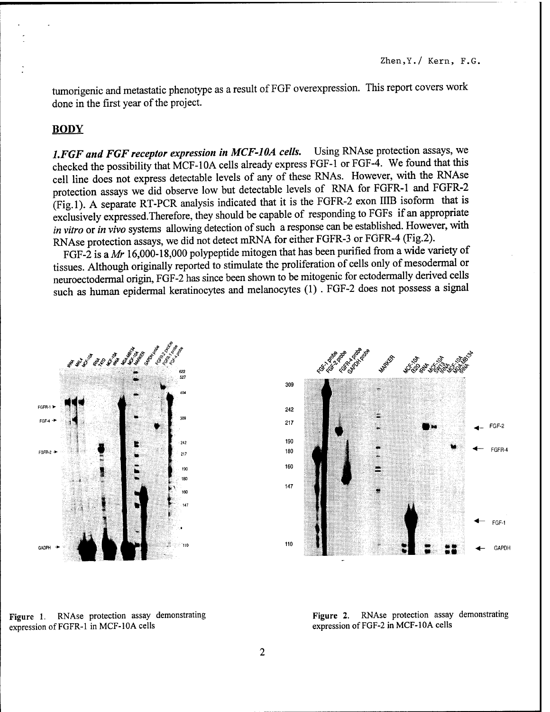tumorigenic and metastatic phenotype as a result of FGF overexpression. This report covers work done in the first year of the project.

## **BODY**

*l.FGF and FGF receptor expression in MCF-10A cells.* Using RNAse protection assays, we checked the possibility that MCF-10A cells already express FGF-1 or FGF-4. We found that this cell line does not express detectable levels of any of these RNAs. However, with the RNAse protection assays we did observe low but detectable levels of RNA for FGFR-1 and FGFR-2 (Fig.l). A separate RT-PCR analysis indicated that it is the FGFR-2 exon IIIB isoform that is exclusively expressed.Therefore, they should be capable of responding to FGFs if an appropriate *in vitro* or *in vivo* systems allowing detection of such a response can be established. However, with RNAse protection assays, we did not detect mRNA for either FGFR-3 or FGFR-4 (Fig.2).

FGF-2 is *a Mr* 16,000-18,000 polypeptide mitogen that has been purified from a wide variety of tissues. Although originally reported to stimulate the proliferation of cells only of mesodermal or neuroectodermal origin, FGF-2 has since been shown to be mitogenic for ectodermally derived cells such as human epidermal keratinocytes and melanocytes (1). FGF-2 does not possess a signal





Figure 1. RNAse protection assay demonstrating expression of FGFR-1 in MCF-10A cells

Figure 2. RNAse protection assay demonstrating expression of FGF-2 in MCF-10A cells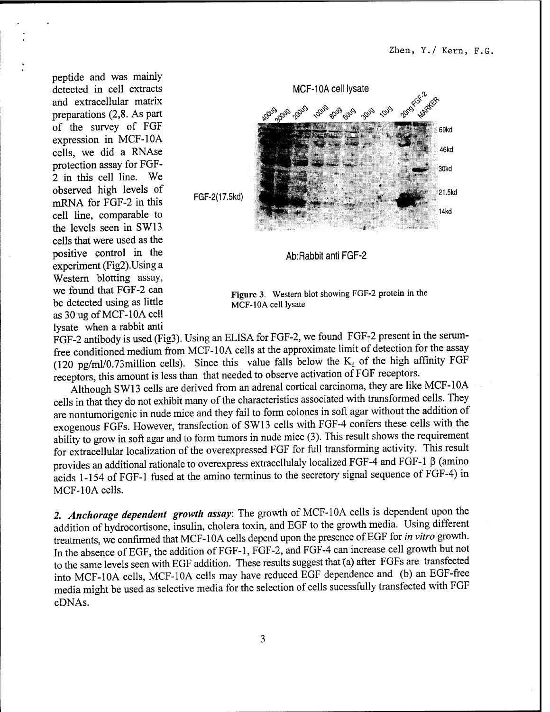peptide and was mainly detected in cell extracts and extracellular matrix preparations (2,8. As part of the survey of FGF expression in MCF-10A cells, we did a RNAse protection assay for FGF-2 in this cell line. We observed high levels of mRNA for FGF-2 in this cell line, comparable to the levels seen in SW13 cells that were used as the positive control in the experiment (Fig2).Using a Western blotting assay, we found that FGF-2 can be detected using as little as 30 ug ofMCF-10A cell lysate when a rabbit anti



**Figure 3.** Western blot showing FGF-2 protein in the MCF-10A cell lysate

FGF-2 antibody is used (Fig3). Using an ELISA for FGF-2, we found FGF-2 present in the serumfree conditioned medium from MCF-10A cells at the approximate limit of detection for the assay (120 pg/ml/0.73million cells). Since this value falls below the  $K_d$  of the high affinity FGF receptors, this amount is less than that needed to observe activation of FGF receptors.

Although SW13 cells are derived from an adrenal cortical carcinoma, they are like MCF-10A cells in that they do not exhibit many of the characteristics associated with transformed cells. They are nontumorigenic in nude mice and they fail to form colones in soft agar without the addition of exogenous FGFs. However, transfection of SW13 cells with FGF-4 confers these cells with the ability to grow in soft agar and to form tumors in nude mice (3). This result shows the requirement for extracellular localization of the overexpressed FGF for full transforming activity. This result provides an additional rationale to overexpress extracellulaly localized FGF-4 and FGF-1 ß (amino acids 1-154 of FGF-1 fused at the amino terminus to the secretory signal sequence of FGF-4) in MCF-10A cells.

*2. Anchorage dependent growth assay:* The growth of MCF-10A cells is dependent upon the addition of hydrocortisone, insulin, cholera toxin, and EGF to the growth media. Using different treatments, we confirmed that MCF-10A cells depend upon the presence ofEGF for *in vitro* growth. In the absence of EGF, the addition of FGF-1, FGF-2, and FGF-4 can increase cell growth but not to the same levels seen with EGF addition. These results suggest that {a) after FGFs are transfected into MCF-10A cells, MCF-10A cells may have reduced EGF dependence and (b) an EGF-free media might be used as selective media for the selection of cells sucessfully transfected with FGF cDNAs.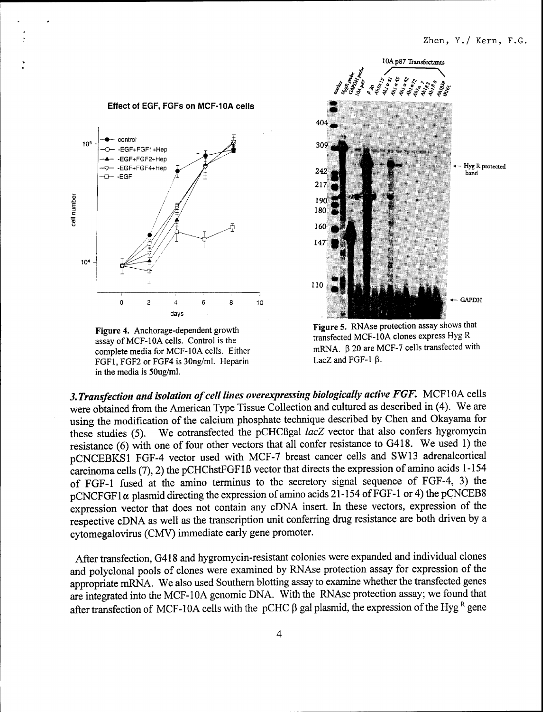

Figure 4. Anchorage-dependent growth assay of MCF-10A cells. Control is the complete media for MCF-10A cells. Either FGF1, FGF2 or FGF4 is 30ng/ml. Heparin in the media is 50ug/ml.



**Figure 5.** RNAse protection assay shows that transfected MCF-10A clones express Hyg R mRNA. ß 20 are MCF-7 cells transfected with LacZ and FGF-1 ß.

*3. Transfection and isolation ofcell lines overexpressing biologically active FGF.* MCF10A cells were obtained from the American Type Tissue Collection and cultured as described in (4). We are using the modification of the calcium phosphate technique described by Chen and Okayama for these studies (5). We cotransfected the pCHCßgal *lacZ* vector that also confers hygromycin resistance (6) with one of four other vectors that all confer resistance to G418. We used 1) the pCNCEBKSl FGF-4 vector used with MCF-7 breast cancer cells and SW13 adrenalcortical carcinoma cells (7), 2) the pCHChstFGFlß vector that directs the expression of amino acids 1-154 of FGF-1 fused at the amino terminus to the secretory signal sequence of FGF-4, 3) the  $pCNCFGF1\alpha$  plasmid directing the expression of amino acids 21-154 of FGF-1 or 4) the pCNCEB8 expression vector that does not contain any cDNA insert. In these vectors, expression of the respective cDNA as well as the transcription unit conferring drug resistance are both driven by a cytomegalovirus (CMV) immediate early gene promoter.

After transfection, G418 and hygromycin-resistant colonies were expanded and individual clones and polyclonal pools of clones were examined by RNAse protection assay for expression of the appropriate mRNA. We also used Southern blotting assay to examine whether the transfected genes are integrated into the MCF-10A genomic DNA. With the RNAse protection assay; we found that after transfection of MCF-10A cells with the pCHC  $\beta$  gal plasmid, the expression of the Hyg  $^R$  gene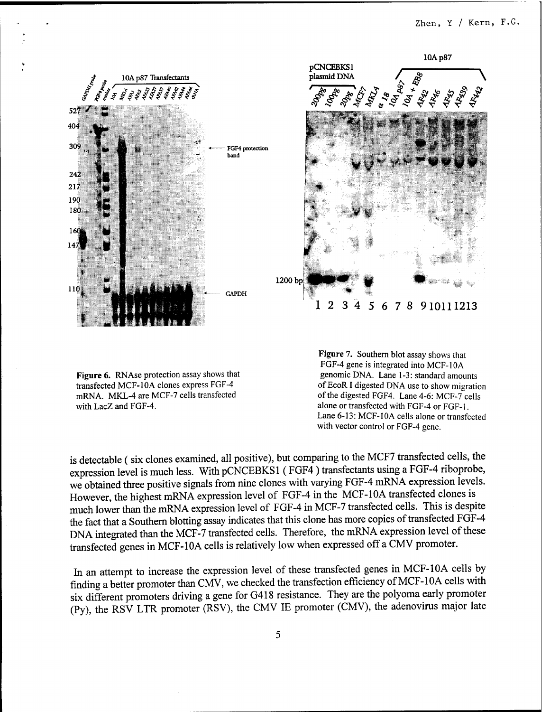

**Figure 6.** RNAse protection assay shows that transfected MCF-10A clones express FGF-4 mRNA. MKL-4 are MCF-7 cells transfected with LacZ and FGF-4.

**Figure** 7. Southern blot assay shows that FGF-4 gene is integrated into MCF-10A genomic DNA. Lane 1-3: standard amounts ofEcoR I digested DNA use to show migration of the digested FGF4. Lane 4-6: MCF-7 cells alone or transfected with FGF-4 or FGF-1. Lane 6-13: MCF-10A cells alone or transfected with vector control or FGF-4 gene.

is detectable (six clones examined, all positive), but comparing to the MCF7 transfected cells, the expression level is much less. With pCNCEBKSl (FGF4) transfectants using a FGF-4 riboprobe, we obtained three positive signals from nine clones with varying FGF-4 mRNA expression levels. However, the highest mRNA expression level of FGF-4 in the MCF-10A transfected clones is much lower than the mRNA expression level of FGF-4 in MCF-7 transfected cells. This is despite the fact that a Southern blotting assay indicates that this clone has more copies of transfected FGF-4 DNA integrated than the MCF-7 transfected cells. Therefore, the mRNA expression level of these transfected genes in MCF-10A cells is relatively low when expressed off a CMV promoter.

In an attempt to increase the expression level of these transfected genes in MCF-10A cells by finding a better promoter than CMV, we checked the transfection efficiency of MCF-10A cells with six different promoters driving a gene for G418 resistance. They are the polyoma early promoter (Py), the RSV LTR promoter (RSV), the CMV IE promoter (CMV), the adenovirus major late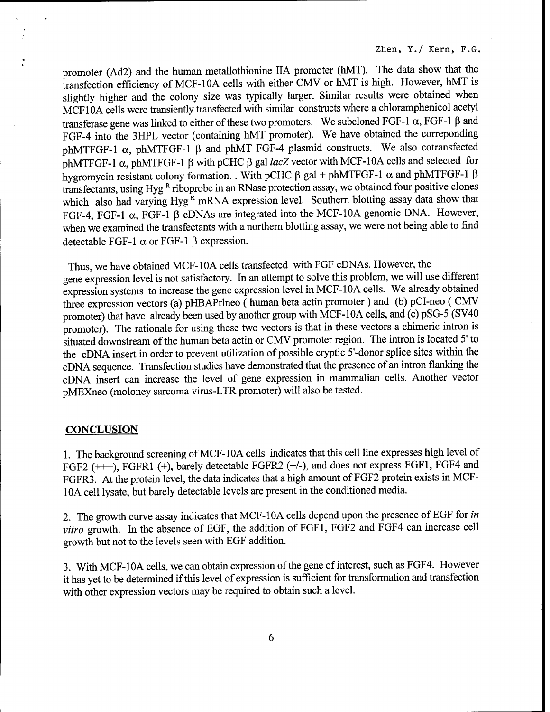promoter (Ad2) and the human metallothionine IIA promoter (hMT). The data show that the transfection efficiency of MCF-10A cells with either CMV or hMT is high. However, hMT is slightly higher and the colony size was typically larger. Similar results were obtained when MCF10A cells were transiently transfected with similar constructs where a chloramphenicol acetyl transferase gene was linked to either of these two promoters. We subcloned FGF-1  $\alpha$ , FGF-1  $\beta$  and FGF-4 into the 3HPL vector (containing hMT promoter). We have obtained the correponding phMTFGF-1  $\alpha$ , phMTFGF-1  $\beta$  and phMT FGF-4 plasmid constructs. We also cotransfected phMTFGF-1  $\alpha$ , phMTFGF-1  $\beta$  with pCHC  $\beta$  gal *lacZ* vector with MCF-10A cells and selected for hygromycin resistant colony formation. . With pCHC  $\beta$  gal + phMTFGF-1  $\alpha$  and phMTFGF-1  $\beta$ transfectants, using Hyg  $R$  riboprobe in an RNase protection assay, we obtained four positive clones which also had varying Hyg<sup> $\hat{k}$ </sup> mRNA expression level. Southern blotting assay data show that FGF-4, FGF-1  $\alpha$ , FGF-1  $\beta$  cDNAs are integrated into the MCF-10A genomic DNA. However, when we examined the transfectants with a northern blotting assay, we were not being able to find detectable FGF-1  $\alpha$  or FGF-1  $\beta$  expression.

Thus, we have obtained MCF-10A cells transfected with FGF cDNAs. However, the gene expression level is not satisfactory. In an attempt to solve this problem, we will use different expression systems to increase the gene expression level in MCF-10A cells. We already obtained three expression vectors (a) pHBAPrlneo (human beta actin promoter) and (b) pCI-neo ( CMV promoter) that have already been used by another group with MCF-10A cells, and (c) pSG-5 (SV40 promoter). The rationale for using these two vectors is that in these vectors a chimeric intron is situated downstream of the human beta actin or CMV promoter region. The intron is located 5' to the cDNA insert in order to prevent utilization of possible cryptic 5'-donor splice sites within the cDNA sequence. Transfection studies have demonstrated that the presence of an intron flanking the cDNA insert can increase the level of gene expression in mammalian cells. Another vector pMEXneo (moloney sarcoma virus-LTR promoter) will also be tested.

#### **CONCLUSION**

1. The background screening ofMCF-10A cells indicates that this cell line expresses high level of FGF2 (+++), FGFR1 (+), barely detectable FGFR2 (+/-), and does not express FGF1, FGF4 and FGFR3. At the protein level, the data indicates that a high amount of FGF2 protein exists in MCF-10A cell lysate, but barely detectable levels are present in the conditioned media.

2. The growth curve assay indicates that MCF-10A cells depend upon the presence of EGF for *in vitro* growth. In the absence of EGF, the addition of FGF1, FGF2 and FGF4 can increase cell growth but not to the levels seen with EGF addition.

3. With MCF-10A cells, we can obtain expression of the gene of interest, such as FGF4. However it has yet to be determined if this level of expression is sufficient for transformation and transfection with other expression vectors may be required to obtain such a level.